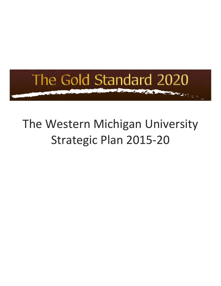

# The Western Michigan University Strategic Plan 2015‐20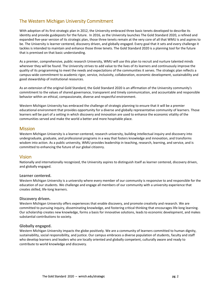## The Western Michigan University Commitment

With adoption of its first strategic plan in 2012, the University embraced three basic tenets developed to describe its identity and provide guideposts for the future. In 2016, as the University launches The Gold Standard 2020, a refined and expanded five‐year version of its strategic plan, those three tenets remain at the very core of all that WMU is and aspires to be. The University is learner centered, discovery driven, and globally engaged. Every goal that it sets and every challenge it tackles is intended to maintain and enhance those three tenets. The Gold Standard 2020 is a planning tool for the future that is premised on that basic understanding.

As a premier, comprehensive, public research University, WMU will use this plan to recruit and nurture talented minds wherever they will be found. The University strives to add value to the lives of its learners and continuously improve the quality of its programming to meet the needs and expectations of the communities it serves. The strategic plan reflects a campus-wide commitment to academic rigor, service, inclusivity, collaboration, economic development, sustainability and good stewardship of institutional resources.

As an extension of the original Gold Standard, the Gold Standard 2020 is an affirmation of the University community's commitment to the values of shared governance, transparent and timely communication, and accountable and responsible behavior within an ethical, compassionate, diverse and respectful environment.

Western Michigan University has embraced the challenge of strategic planning to ensure that it will be a premier educational environment that provides opportunity for a diverse and globally representative community of learners. Those learners will be part of a setting in which discovery and innovation are used to enhance the economic vitality of the communities served and make the world a better and more hospitable place.

#### **Mission**

Western Michigan University is a learner-centered, research university, building intellectual inquiry and discovery into undergraduate, graduate, and professional programs in a way that fosters knowledge and innovation, and transforms wisdom into action. As a public university, WMU provides leadership in teaching, research, learning, and service, and is committed to enhancing the future of our global citizenry.

### Vision

Nationally and internationally recognized, the University aspires to distinguish itself as learner centered, discovery driven, and globally engaged.

#### **Learner centered.**

Western Michigan University is a university where every member of our community is responsive to and responsible for the education of our students. We challenge and engage all members of our community with a university experience that creates skilled, life‐long learners.

#### **Discovery driven.**

Western Michigan University offers experiences that enable discovery, and promote creativity and research. We are committed to pursuing inquiry, disseminating knowledge, and fostering critical thinking that encourages life-long learning. Our scholarship creates new knowledge, forms a basis for innovative solutions, leads to economic development, and makes substantial contributions to society.

#### **Globally engaged.**

Western Michigan University impacts the globe positively. We are a community of learners committed to human dignity, sustainability, social responsibility, and justice. Our campus embraces a diverse population of students, faculty and staff who develop learners and leaders who are locally oriented and globally competent, culturally aware and ready to contribute to world knowledge and discovery.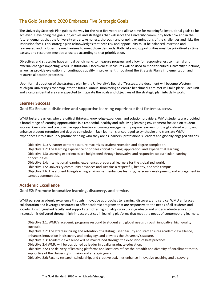# The Gold Standard 2020 Embraces Five Strategic Goals

The University Strategic Plan guides the way for the next five years and allows time for meaningful institutional goals to be achieved. Developing the goals, objectives and strategies that will serve the University community both now and in the future, demands that the University undertake honest, thorough and ongoing examinations of the challenges and risks the institution faces. This strategic plan acknowledges that both risk and opportunity must be balanced, assessed and reassessed and includes the mechanisms to meet those demands. Both risks and opportunities must be prioritized as time passes, and resources must be allocated according to that prioritization.

Objectives and strategies have annual benchmarks to measure progress and allow for responsiveness to internal and external changes impacting WMU. Institutional Effectiveness Measures will be used to monitor critical University functions, as well as provide evaluation for continuous quality improvement throughout the Strategic Plan's implementation and resource allocation processes.

Upon formal adoption of the strategic plan by the University's Board of Trustees, the document will become Western Michigan University's roadmap into the future. Annual monitoring to ensure benchmarks are met will take place. Each unit and vice presidential area are expected to integrate the goals and objectives of the strategic plan into daily work.

#### **Learner Success**

**Goal #1: Ensure a distinctive and supportive learning experience that fosters success.**

WMU fosters learners who are critical thinkers, knowledge expanders, and solution providers. WMU students are provided a broad range of learning opportunities in a respectful, healthy and safe living‐learning environment focused on student success. Curricular and co-curricular opportunities encourage engagement, prepare learners for the globalized world, and enhance student retention and degree completion. Each learner is encouraged to synthesize and translate WMU experiences into a unique Signature defining who they are as learners, professionals, leaders and globally engaged citizens.

Objective 1.1: A learner‐centered culture maximizes student retention and degree completion. Objective 1.2: The learning experience prioritizes critical thinking, application, and experiential learning. Objective 1.3: Learning experiences are heightened through innovative and responsive co‐curricular learning opportunities. Objective 1.4: International learning experiences prepare all learners for the globalized world. Objective 1.5: University community advances and sustains a respectful, healthy, and safe campus. Objective 1.6: The student living‐learning environment enhances learning, personal development, and engagement in campus communities.

#### **Academic Excellence**

**Goal #2: Promote innovative learning, discovery, and service.**

WMU pursues academic excellence through innovative approaches to learning, discovery, and service. WMU embraces collaboration and leverages resources to offer academic programs that are responsive to the needs of all students and society. A distinguished faculty and support staff offer high quality curricula in graduate and undergraduate education. Instruction is delivered through high-impact practices in learning platforms that meet the needs of contemporary learners.

Objective 2.1: WMU's academic programs respond to student and global needs through innovative, high quality curricula.

Objective 2.2: The strategic hiring and retention of a distinguished faculty and staff ensures academic excellence, enhances innovation in discovery and pedagogy, and elevates the University's stature.

Objective 2.3: Academic excellence will be maintained through the execution of best practices.

Objective 2.4 WMU will be positioned as leader in quality graduate education.

Objective 2.5: The delivery of learning platforms and locations reflect the breadth and diversity of enrollment that is supportive of the University's mission and strategic goals.

Objective 2.6: Faculty research, scholarship, and creative activities enhance innovative teaching and discovery.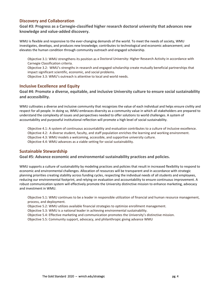#### **Discovery and Collaboration**

**Goal #3: Progress as a Carnegie‐classified higher research doctoral university that advances new knowledge and value‐added discovery.**

WMU is flexible and responsive to the ever-changing demands of the world. To meet the needs of society, WMU investigates, develops, and produces new knowledge; contributes to technological and economic advancement; and elevates the human condition through community outreach and engaged scholarship.

Objective 3.1: WMU strengthens its position as a Doctoral University: Higher Research Activity in accordance with Carnegie Classification criteria.

Objective 3.2: WMU's strengths in research and engaged scholarship create mutually beneficial partnerships that impact significant scientific, economic, and social problems.

Objective 3.3: WMU's outreach is attentive to local and world needs.

#### **Inclusive Excellence and Equity**

**Goal #4: Promote a diverse, equitable, and inclusive University culture to ensure social sustainability and accessibility.**

WMU cultivates a diverse and inclusive community that recognizes the value of each individual and helps ensure civility and respect for all people. In doing so, WMU embraces diversity as a community value in which all stakeholders are prepared to understand the complexity of issues and perspectives needed to offer solutions to world challenges. A system of accountability and purposeful institutional reflection will promote a high level of social sustainability.

Objective 4.1: A system of continuous accountability and evaluation contributes to a culture of inclusive excellence. Objective 4.2: A diverse student, faculty, and staff population enriches the learning and working environment. Objective 4.3: WMU models a welcoming, accessible, and supportive university culture. Objective 4.4: WMU advances as a viable setting for social sustainability.

#### **Sustainable Stewardship**

**Goal #5: Advance economic and environmental sustainability practices and policies.**

WMU supports a culture of sustainability by modeling practices and policies that result in increased flexibility to respond to economic and environmental challenges. Allocation of resources will be transparent and in accordance with strategic planning priorities creating stability across funding cycles, respecting the individual needs of all students and employees, reducing our environmental footprint, and relying on evaluation and accountability to ensure continuous improvement. A robust communication system will effectively promote the University distinctive mission to enhance marketing, advocacy and investment in WMU.

Objective 5.1: WMU continues to be a leader in responsible utilization of financial and human resource management, process, and deployment.

Objective 5.2: WMU utilizes available financial strategies to optimize enrollment management.

Objective 5.3: WMU is a national leader in achieving environmental sustainability.

Objective 5.4: Effective marketing and communication promotes the University's distinctive mission.

Objective 5.5: Community support, advocacy, and philanthropic giving advance WMU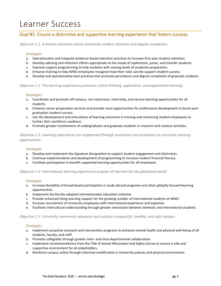# Learner Success

## Goal #1: Ensure a distinctive and supportive learning experience that fosters success.

*Objective 1.1: A learner‐centered culture maximizes student retention and degree completion.* 

#### *Strategies*

- a. Operationalize and integrate evidence‐based retention practices to increase first‐year student retention.
- b. Develop advising and retention efforts appropriate to the needs of sophomore, junior, and transfer students.
- c. Improve support programming to help students with varying levels of academic preparation.
- d. Enhance training to help WMU employees recognize how their roles can/do support student success.
- e. Develop and operationalize best practices that promote persistence and degree completion of graduate students.

*Objective 1.2: The learning experience prioritizes critical thinking, application, and experiential learning.* 

#### *Strategies*

- a. Coordinate and promote off‐campus, non‐classroom, internship, and service‐learning opportunities for all students.
- b. Enhance career preparation services and provide more opportunities for professional development to boost postgraduation student success.
- c. Use the development and articulation of learning outcomes in training and mentoring student employees to further their workforce readiness.
- d. Promote greater involvement of undergraduate and graduate students in research and creative activities.

*Objective 1.3: Learning experiences are heightened through innovative and responsive co‐curricular learning opportunities.* 

#### *Strategies*

- a. Develop and implement the *Signature Designation* to support student engagement and distinction.
- b. Continue implementation and development of programming to increase student financial literacy.
- c. Facilitate participation in benefit‐supported learning opportunities for all employees.

*Objective 1.4: International learning experiences prepare all learners for the globalized world.* 

#### *Strategies*

- a. Increase feasibility of broad‐based participation in study abroad programs and other globally focused learning opportunities.
- b. Implement the faculty‐adopted *internationalize education* initiative.
- c. Provide enhanced living-learning support for the growing number of international students at WMU.
- d. Increase recruitment of University employees with international experience and expertise.
- e. Facilitate intercultural understanding through greater interaction between domestic and international students.

#### *Objective 1.5: University community advances and sustains a respectful, healthy, and safe campus.*

- a. Implement proactive outreach and intervention programs to enhance mental health and physical well‐being of all students, faculty, and staff.
- b. Promote collegiality through greater inter‐ and intra‐departmental collaboration.
- c. Implement recommendations from the *Title IX Sexual Misconduct and Safety Survey* to ensure a safe and supportive environment for all stakeholders.
- d. Reinforce campus safety through informed modification in University policies and physical environment.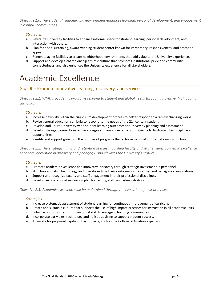*Objective 1.6: The student living‐learning environment enhances learning, personal development, and engagement in campus communities.* 

#### *Strategies*

- a. Revitalize University facilities to enhance informal space for student learning, personal development, and interaction with others.
- b. Plan for a self-sustaining, award-winning student center known for its vibrancy, responsiveness, and aesthetic appeal.
- c. Renovate aging facilities to create neighborhood environments that add value to the University experience.
- d. Support and develop a championship athletic culture that promotes institutional pride and community connectedness, and also enhances the University experience for all stakeholders.

# Academic Excellence

### Goal #2: Promote innovative learning, discovery, and service.

*Objective 2.1: WMU's academic programs respond to student and global needs through innovative, high quality curricula.* 

#### *Strategies*

- a. Increase flexibility within the curriculum development process to better respond to a rapidly changing world.
- b. Revise general education curricula to respond to the needs of the  $21<sup>st</sup>$  century student.
- c. Develop and utilize University‐wide student learning outcomes for University planning and assessment.
- d. Develop stronger connections across colleges and among external constituents to facilitate interdisciplinary opportunities.
- e. Identify and support growth in the number of programs that achieve national or international distinction.

*Objective 2.2: The strategic hiring and retention of a distinguished faculty and staff ensures academic excellence, enhances innovation in discovery and pedagogy, and elevates the University's stature.* 

#### *Strategies*

- a. Promote academic excellence and innovative discovery through strategic investment in personnel.
- b. Structure and align technology and operations to advance information resources and pedagogical innovations.
- c. Support and recognize faculty and staff engagement in their professional disciplines.
- d. Develop an operational succession plan for faculty, staff, and administrators.

*Objective 2.3: Academic excellence will be maintained through the execution of best practices.* 

- a. Increase systematic assessment of student learning for continuous improvement of curricula.
- b. Create and sustain a culture that supports the use of high impact practices for instruction in all academic units.
- c. Enhance opportunities for instructional staff to engage in learning communities.
- d. Incorporate early alert technology and holistic advising to support student success.
- e. Advocate for proposed capital outlay projects, such as the College of Aviation expansion.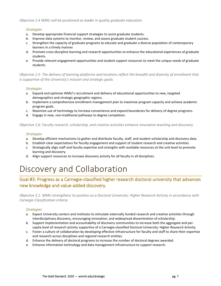*Objective 2.4 WMU will be positioned as leader in quality graduate education.* 

#### *Strategies*

- a. Develop appropriate financial support strategies to assist graduate students.
- b. Improve data systems to monitor, review, and assess graduate student success.
- c. Strengthen the capacity of graduate programs to educate and graduate a diverse population of contemporary learners in a timely manner.
- d. Promote cross‐discipline learning and research opportunities to enhance the educational experiences of graduate students.
- e. Provide relevant engagement opportunities and student support resources to meet the unique needs of graduate students.

*Objective 2.5: The delivery of learning platforms and locations reflect the breadth and diversity of enrollment that is supportive of the University's mission and strategic goals.* 

#### *Strategies*

- a. Expand and optimize WMU's recruitment and delivery of educational opportunities to new, targeted demographics and strategic geographic regions.
- b. Implement a comprehensive enrollment management plan to maximize program capacity and achieve academic program goals.
- c. Maximize use of technology to increase convenience and expand boundaries for delivery of degree programs.
- d. Engage in new, non-traditional pathways to degree completion.

#### *Objective 2.6: Faculty research, scholarship, and creative activities enhance innovative teaching and discovery.*

#### *Strategies*

- a. Develop efficient mechanisms to gather and distribute faculty, staff, and student scholarship and discovery data.
- b. Establish clear expectations for faculty engagement and support of student research and creative activities.
- c. Strategically align staff and faculty expertise and strengths with available resources at the unit level to promote learning and discovery.
- d. Align support resources to increase discovery activity for all faculty in all disciplines.

# Discovery and Collaboration

# Goal #3: Progress as a Carnegie‐classified higher research doctoral university that advances new knowledge and value‐added discovery.

*Objective 3.1: WMU strengthens its position as a Doctoral University: Higher Research Activity in accordance with Carnegie Classification criteria.* 

- a. Expect University centers and institutes to stimulate externally funded research and creative activities through interdisciplinary discovery, encouraging innovation, and widespread dissemination of scholarship.
- b. Support implementation and accountability of discovery communities to increase both the aggregate and per‐ capita level of research activity supportive of a Carnegie‐classified Doctoral University: Higher Research Activity.
- c. Foster a culture of collaboration by developing effective infrastructure for faculty and staff to share their expertise and research across disciplines and regional research entities.
- d. Enhance the delivery of doctoral programs to increase the number of doctoral degrees awarded.
- e. Enhance information technology and data management infrastructure to support research.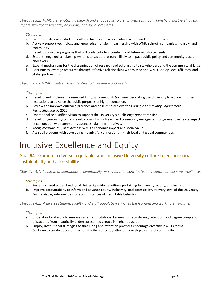*Objective 3.2: WMU's strengths in research and engaged scholarship create mutually beneficial partnerships that impact significant scientific, economic, and social problems.* 

#### *Strategies*

- a. Foster investment in student, staff and faculty innovation, infrastructure and entrepreneurism.
- b. Actively support technology and knowledge transfer in partnership with WMU spin‐off companies, industry, and community.
- c. Develop curricular programs that will contribute to incumbent and future workforce needs.
- d. Establish engaged scholarship systems to support research likely to impact public policy and community‐based endeavors.
- e. Expand mechanisms for the dissemination of research and scholarship to stakeholders and the community at large.
- f. Continue to leverage resources through effective relationships with WMed and WMU Cooley, local affiliates, and global partnerships.

#### *Objective 3.3: WMU's outreach is attentive to local and world needs.*

#### *Strategies*

- a. Develop and implement a renewed *Campus Compact Action Plan*, dedicating the University to work with other institutions to advance the public purposes of higher education.
- b. Review and improve outreach practices and policies to achieve the *Carnegie Community Engagement Reclassification* by 2020.
- c. Operationalize a unified vision to support the University's public engagement mission.
- d. Develop rigorous, systematic evaluations of all outreach and community engagement programs to increase impact in conjunction with community agencies' planning initiatives.
- e. *Know, measure, tell, and increase* WMU's economic impact and social value.
- f. Assist all students with developing meaningful connections in their local and global communities.

# Inclusive Excellence and Equity

### Goal #4: Promote a diverse, equitable, and inclusive University culture to ensure social sustainability and accessibility.

*Objective 4.1: A system of continuous accountability and evaluation contributes to a culture of inclusive excellence.* 

#### *Strategies*

- a. Foster a shared understanding of University‐wide definitions pertaining to diversity, equity, and inclusion.
- b. Improve accountability to inform and advance equity, inclusivity, and accessibility, at every level of the University.
- c. Ensure viable, safe avenues to report instances of inequitable behavior.

*Objective 4.2: A diverse student, faculty, and staff population enriches the learning and working environment.* 

- a. Understand and work to remove systemic institutional barriers for recruitment, retention, and degree completion of students from historically underrepresented groups in higher education.
- b. Employ institutional strategies so that hiring and retention practices encourage diversity in all its forms.
- c. Continue to create opportunities for affinity groups to gather and develop a sense of community.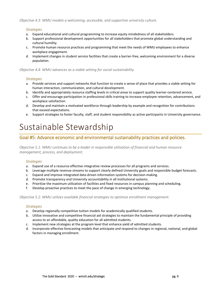*Objective 4.3: WMU models a welcoming, accessible, and supportive university culture.* 

#### *Strategies*

- a. Expand educational and cultural programming to increase equity mindedness of all stakeholders.
- b. Support professional development opportunities for all stakeholders that promote global understanding and cultural humility.
- c. Promote human resource practices and programming that meet the needs of WMU employees to enhance workplace engagement.
- d. Implement changes in student service facilities that create a barrier‐free, welcoming environment for a diverse population.

*Objective 4.4: WMU advances as a viable setting for social sustainability.* 

#### *Strategies*

- a. Provide services and support networks that function to create a sense of place that provides a viable setting for human interaction, communication, and cultural development.
- b. Identify and appropriately resource staffing levels in critical areas to support quality learner‐centered service.
- c. Offer and encourage participation in professional skills training to increase employee retention, advancement, and workplace satisfaction.
- d. Develop and maintain a motivated workforce through leadership by example and recognition for contributions that exceed expectations.
- e. Support strategies to foster faculty, staff, and student responsibility as active participants in University governance.

# Sustainable Stewardship

# Goal #5: Advance economic and environmental sustainability practices and policies.

*Objective 5.1: WMU continues to be a leader in responsible utilization of financial and human resource management, process, and deployment.* 

#### *Strategies*

- a. Expand use of a resource‐effective integrative review processes for all programs and services.
- b. Leverage multiple revenue streams to support clearly defined University goals and responsible budget forecasts.
- c. Expand and improve integrated data‐driven information systems for decision‐making.
- d. Promote transparency and University accountability in all institutional systems.
- e. Prioritize the maximum utilization of facilities and fixed resources in campus planning and scheduling.
- f. Develop proactive practices to meet the pace of change in emerging technology.

*Objective 5.2: WMU utilizes available financial strategies to optimize enrollment management.* 

- a. Develop regionally competitive tuition models for academically qualified students.
- b. Utilize innovative and competitive financial aid strategies to maintain the fundamental principle of providing access to an affordable, quality education for all admitted students.
- c. Implement new strategies at the program level that enhance yield of admitted students.
- d. Incorporate effective forecasting models that anticipate and respond to changes in regional, national, and global factors in managing enrollment.